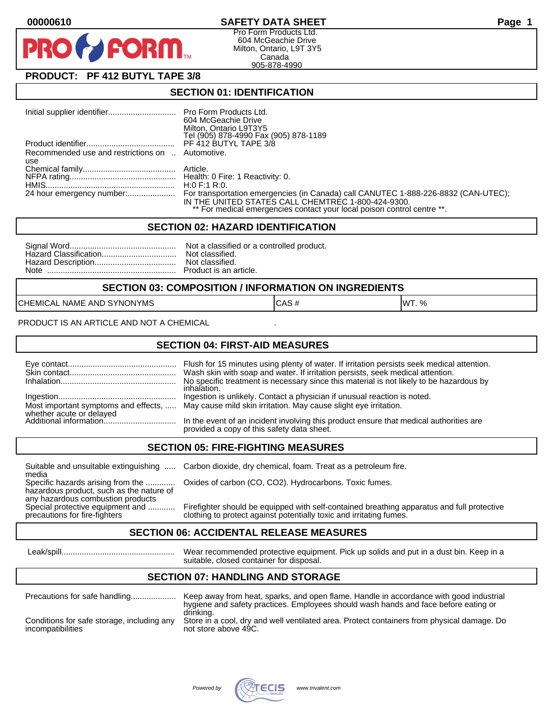

Pro Form Products Ltd. 604 McGeachie Drive Milton, Ontario, L9T 3Y5 Canada 905-878-4990

# **PRODUCT: PF 412 BUTYL TAPE 3/8**

**FORM** 

### **SECTION 01: IDENTIFICATION**

|                                                  | Pro Form Products Ltd.                                                             |
|--------------------------------------------------|------------------------------------------------------------------------------------|
|                                                  | 604 McGeachie Drive                                                                |
|                                                  | Milton, Ontario L9T3Y5                                                             |
|                                                  | Tel (905) 878-4990 Fax (905) 878-1189                                              |
|                                                  | PF 412 BUTYL TAPE 3/8                                                              |
| Recommended use and restrictions on  Automotive. |                                                                                    |
| use                                              |                                                                                    |
|                                                  |                                                                                    |
|                                                  |                                                                                    |
|                                                  | H:0 F:1 R:0.                                                                       |
| 24 hour emergency number:                        | For transportation emergencies (in Canada) call CANUTEC 1-888-226-8832 (CAN-UTEC); |
|                                                  | IN THE UNITED STATES CALL CHEMTREC 1-800-424-9300.                                 |
|                                                  | ** For medical emergencies contact your local poison control centre **.            |

#### **SECTION 02: HAZARD IDENTIFICATION**

### **SECTION 03: COMPOSITION / INFORMATION ON INGREDIENTS**

CHEMICAL NAME AND SYNONYMS CASE CAS # CAS # WT. %

PRODUCT IS AN ARTICLE AND NOT A CHEMICAL

### **SECTION 04: FIRST-AID MEASURES**

|                                                    | Flush for 15 minutes using plenty of water. If irritation persists seek medical attention.<br>Wash skin with soap and water. If irritation persists, seek medical attention.<br>No specific treatment is necessary since this material is not likely to be hazardous by<br>inhalation. |
|----------------------------------------------------|----------------------------------------------------------------------------------------------------------------------------------------------------------------------------------------------------------------------------------------------------------------------------------------|
|                                                    | Ingestion is unlikely. Contact a physician if unusual reaction is noted.<br>Most important symptoms and effects,  May cause mild skin irritation. May cause slight eye irritation.                                                                                                     |
| whether acute or delayed<br>Additional information | In the event of an incident involving this product ensure that medical authorities are<br>provided a copy of this safety data sheet.                                                                                                                                                   |

### **SECTION 05: FIRE-FIGHTING MEASURES**

media<br>Specific hazards arising from the .............

hazardous product, such as the nature of any hazardous combustion products<br>Special protective equipment and ............

Suitable and unsuitable extinguishing ..... Carbon dioxide, dry chemical, foam. Treat as a petroleum fire.

Oxides of carbon (CO, CO2). Hydrocarbons. Toxic fumes.

Special protective equipment and ............ Firefighter should be equipped with self-contained breathing apparatus and full protective<br>precautions for fire-fighters on the clothing to protect against potentially toxic an clothing to protect against potentially toxic and irritating fumes.

### **SECTION 06: ACCIDENTAL RELEASE MEASURES**

 Leak/spill.................................................. Wear recommended protective equipment. Pick up solids and put in a dust bin. Keep in a suitable, closed container for disposal.

# **SECTION 07: HANDLING AND STORAGE**

| Precautions for safe handling                                   | Keep away from heat, sparks, and open flame. Handle in accordance with good industrial<br>hygiene and safety practices. Employees should wash hands and face before eating or |
|-----------------------------------------------------------------|-------------------------------------------------------------------------------------------------------------------------------------------------------------------------------|
| Conditions for safe storage, including any<br>incompatibilities | drinking.<br>Store in a cool, dry and well ventilated area. Protect containers from physical damage. Do<br>not store above 49C.                                               |

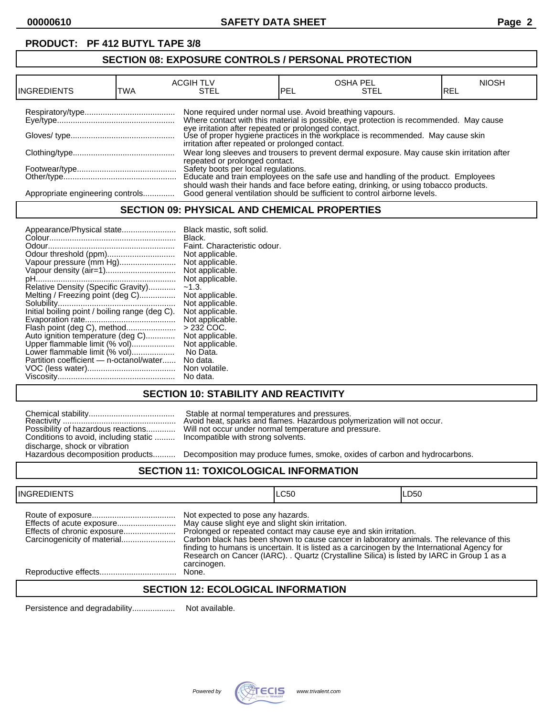# **PRODUCT: PF 412 BUTYL TAPE 3/8**

# **SECTION 08: EXPOSURE CONTROLS / PERSONAL PROTECTION**

| IINGREDIENTS                     | TWA | <b>ACGIH TLV</b><br>STEL                                 | PEL | <b>OSHA PEL</b><br>STEL                                                                                                                                           | <b>NIOSH</b><br>IREL |
|----------------------------------|-----|----------------------------------------------------------|-----|-------------------------------------------------------------------------------------------------------------------------------------------------------------------|----------------------|
|                                  |     | None required under normal use. Avoid breathing vapours. |     | Where contact with this material is possible, eye protection is recommended. May cause                                                                            |                      |
|                                  |     | irritation after repeated or prolonged contact.          |     | eye irritation after repeated or prolonged contact.<br>Use of proper hygiene practices in the workplace is recommended. May cause skin                            |                      |
|                                  |     | repeated or prolonged contact.                           |     | Wear long sleeves and trousers to prevent dermal exposure. May cause skin irritation after                                                                        |                      |
|                                  |     |                                                          |     | Safety boots per local regulations.<br>Educate and train employees on the safe use and handling of the product. Employees                                         |                      |
| Appropriate engineering controls |     |                                                          |     | should wash their hands and face before eating, drinking, or using tobacco products.<br>Good general ventilation should be sufficient to control airborne levels. |                      |

### **SECTION 09: PHYSICAL AND CHEMICAL PROPERTIES**

# **SECTION 10: STABILITY AND REACTIVITY**

|                                       | Stable at normal temperatures and pressures.<br>Avoid heat, sparks and flames. Hazardous poly                           |
|---------------------------------------|-------------------------------------------------------------------------------------------------------------------------|
| Conditions to avoid, including static | Possibility of hazardous reactions Will not occur under normal temperature and pr<br>Incompatible with strong solvents. |
| discharge, shock or vibration         |                                                                                                                         |
| Hazardous decomposition products      | Decomposition may produce fumes, smoke, oxi                                                                             |

Reactivity .................................................. Avoid heat, sparks and flames. Hazardous polymerization will not occur. Possibility of hazardous reactions............. Will not occur under normal temperature and pressure. Incompatible with strong solvents.

Decomposition may produce fumes, smoke, oxides of carbon and hydrocarbons.

#### **SECTION 11: TOXICOLOGICAL INFORMATION**

| <b>INGREDIENTS</b>          |                                                                                                      | LC50                                                                                                                                                                                                                                                                                                                                                       | LD50 |
|-----------------------------|------------------------------------------------------------------------------------------------------|------------------------------------------------------------------------------------------------------------------------------------------------------------------------------------------------------------------------------------------------------------------------------------------------------------------------------------------------------------|------|
| Effects of chronic exposure | Not expected to pose any hazards.<br>May cause slight eye and slight skin irritation.<br>carcinogen. | Prolonged or repeated contact may cause eye and skin irritation.<br>Carbon black has been shown to cause cancer in laboratory animals. The relevance of this<br>finding to humans is uncertain. It is listed as a carcinogen by the International Agency for<br>Research on Cancer (IARC). . Quartz (Crystalline Silica) is listed by IARC in Group 1 as a |      |
|                             | None.                                                                                                |                                                                                                                                                                                                                                                                                                                                                            |      |

# **SECTION 12: ECOLOGICAL INFORMATION**

Persistence and degradability................... Not available.